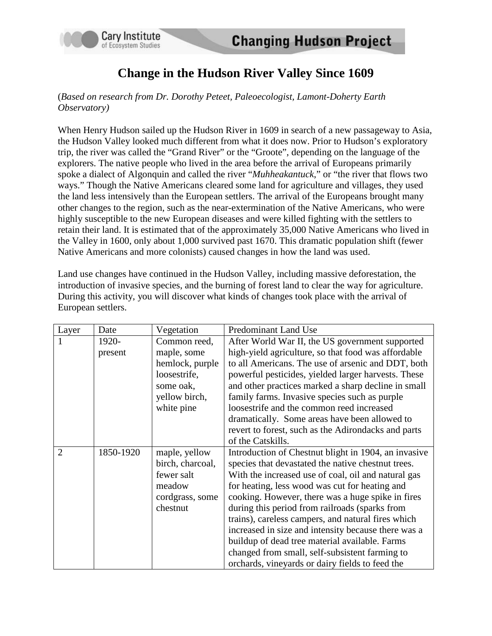

## **Change in the Hudson River Valley Since 1609**

## (*Based on research from Dr. Dorothy Peteet, Paleoecologist, Lamont-Doherty Earth Observatory)*

When Henry Hudson sailed up the Hudson River in 1609 in search of a new passageway to Asia, the Hudson Valley looked much different from what it does now. Prior to Hudson's exploratory trip, the river was called the "Grand River" or the "Groote", depending on the language of the explorers. The native people who lived in the area before the arrival of Europeans primarily spoke a dialect of Algonquin and called the river "*Muhheakantuck*," or "the river that flows two ways." Though the Native Americans cleared some land for agriculture and villages, they used the land less intensively than the European settlers. The arrival of the Europeans brought many other changes to the region, such as the near-extermination of the Native Americans, who were highly susceptible to the new European diseases and were killed fighting with the settlers to retain their land. It is estimated that of the approximately 35,000 Native Americans who lived in the Valley in 1600, only about 1,000 survived past 1670. This dramatic population shift (fewer Native Americans and more colonists) caused changes in how the land was used.

Land use changes have continued in the Hudson Valley, including massive deforestation, the introduction of invasive species, and the burning of forest land to clear the way for agriculture. During this activity, you will discover what kinds of changes took place with the arrival of European settlers.

| Layer          | Date      | Vegetation       | Predominant Land Use                                 |
|----------------|-----------|------------------|------------------------------------------------------|
|                | 1920-     | Common reed,     | After World War II, the US government supported      |
|                | present   | maple, some      | high-yield agriculture, so that food was affordable  |
|                |           | hemlock, purple  | to all Americans. The use of arsenic and DDT, both   |
|                |           | loosestrife,     | powerful pesticides, yielded larger harvests. These  |
|                |           | some oak,        | and other practices marked a sharp decline in small  |
|                |           | yellow birch,    | family farms. Invasive species such as purple        |
|                |           | white pine       | loosestrife and the common reed increased            |
|                |           |                  | dramatically. Some areas have been allowed to        |
|                |           |                  | revert to forest, such as the Adirondacks and parts  |
|                |           |                  | of the Catskills.                                    |
| $\overline{2}$ | 1850-1920 | maple, yellow    | Introduction of Chestnut blight in 1904, an invasive |
|                |           | birch, charcoal, | species that devastated the native chestnut trees.   |
|                |           | fewer salt       | With the increased use of coal, oil and natural gas  |
|                |           | meadow           | for heating, less wood was cut for heating and       |
|                |           | cordgrass, some  | cooking. However, there was a huge spike in fires    |
|                |           | chestnut         | during this period from railroads (sparks from       |
|                |           |                  | trains), careless campers, and natural fires which   |
|                |           |                  | increased in size and intensity because there was a  |
|                |           |                  | buildup of dead tree material available. Farms       |
|                |           |                  | changed from small, self-subsistent farming to       |
|                |           |                  | orchards, vineyards or dairy fields to feed the      |